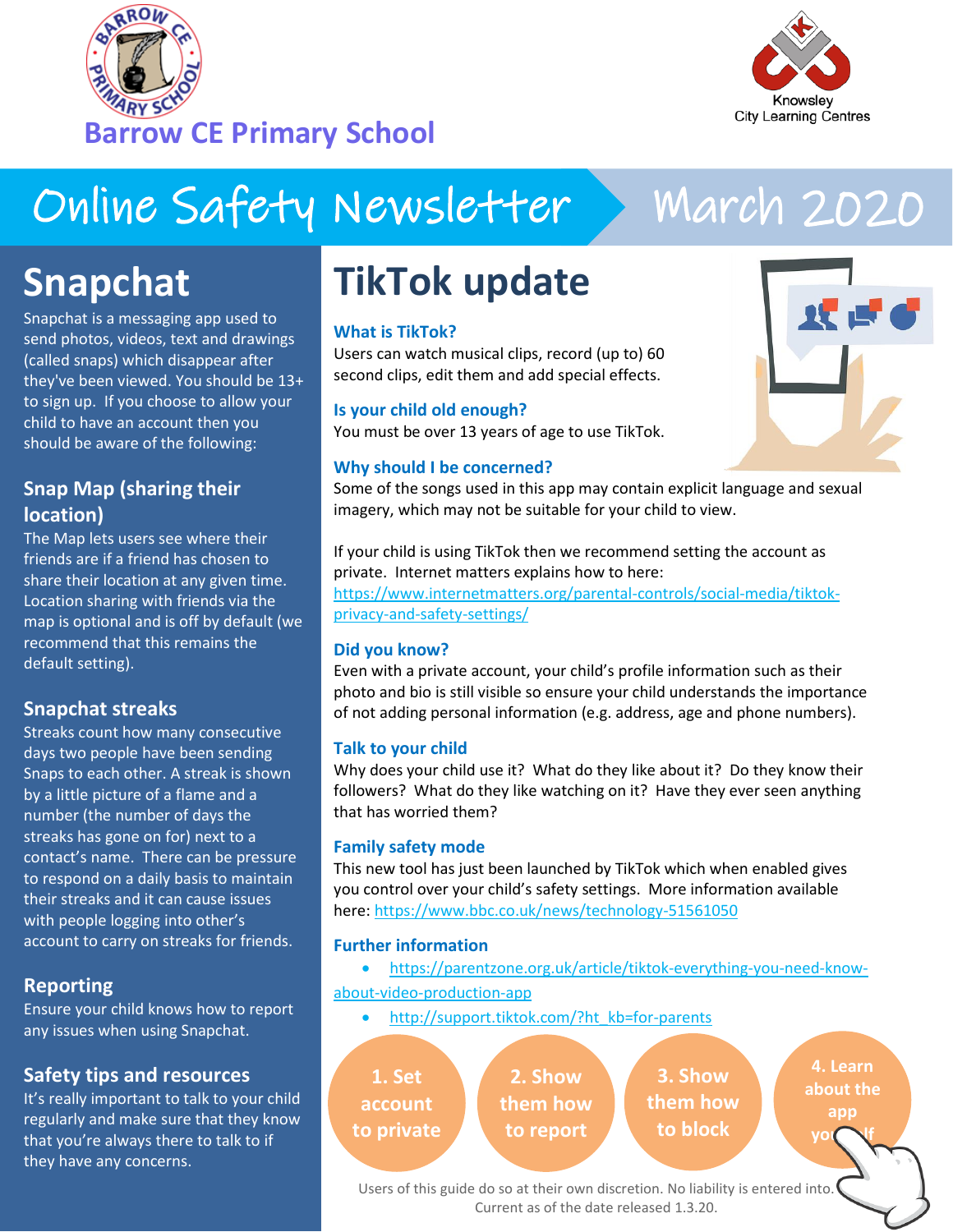



# Online Safety Newsletter

# March 2020

双式

### **Snapchat**

Snapchat is a messaging app used to send photos, videos, text and drawings (called snaps) which disappear after they've been viewed. You should be 13+ to sign up. If you choose to allow your child to have an account then you should be aware of the following:

### **Snap Map (sharing their location)**

The Map lets users see where their friends are if a friend has chosen to share their location at any given time. Location sharing with friends via the map is optional and is off by default (we recommend that this remains the default setting).

#### **Snapchat streaks**

Streaks count how many consecutive days two people have been sending Snaps to each other. A streak is shown by a little picture of a flame and a number (the number of days the streaks has gone on for) next to a contact's name. There can be pressure to respond on a daily basis to maintain their streaks and it can cause issues with people logging into other's account to carry on streaks for friends.

#### **Reporting**

Ensure your child knows how to report any issues when using Snapchat.

#### **Safety tips and resources**

It's really important to talk to your child regularly and make sure that they know that you're always there to talk to if they have any concerns.

## **TikTok update**

#### **What is TikTok?**

Users can watch musical clips, record (up to) 60 second clips, edit them and add special effects.

**Is your child old enough?** You must be over 13 years of age to use TikTok.

#### **Why should I be concerned?**

Some of the songs used in this app may contain explicit language and sexual imagery, which may not be suitable for your child to view.

If your child is using TikTok then we recommend setting the account as private. Internet matters explains how to here: [https://www.internetmatters.org/parental-controls/social-media/tiktok-](https://www.internetmatters.org/parental-controls/social-media/tiktok-privacy-and-safety-settings/)

[privacy-and-safety-settings/](https://www.internetmatters.org/parental-controls/social-media/tiktok-privacy-and-safety-settings/)

#### **Did you know?**

Even with a private account, your child's profile information such as their photo and bio is still visible so ensure your child understands the importance of not adding personal information (e.g. address, age and phone numbers).

#### **Talk to your child**

Why does your child use it? What do they like about it? Do they know their followers? What do they like watching on it? Have they ever seen anything that has worried them?

#### **Family safety mode**

This new tool has just been launched by TikTok which when enabled gives you control over your child's safety settings. More information available here: <https://www.bbc.co.uk/news/technology-51561050>

#### **Further information**

- [https://parentzone.org.uk/article/tiktok-everything-you-need-know](https://parentzone.org.uk/article/tiktok-everything-you-need-know-about-video-production-app)[about-video-production-app](https://parentzone.org.uk/article/tiktok-everything-you-need-know-about-video-production-app)
	- [http://support.tiktok.com/?ht\\_kb=for-parents](http://support.tiktok.com/?ht_kb=for-parents)